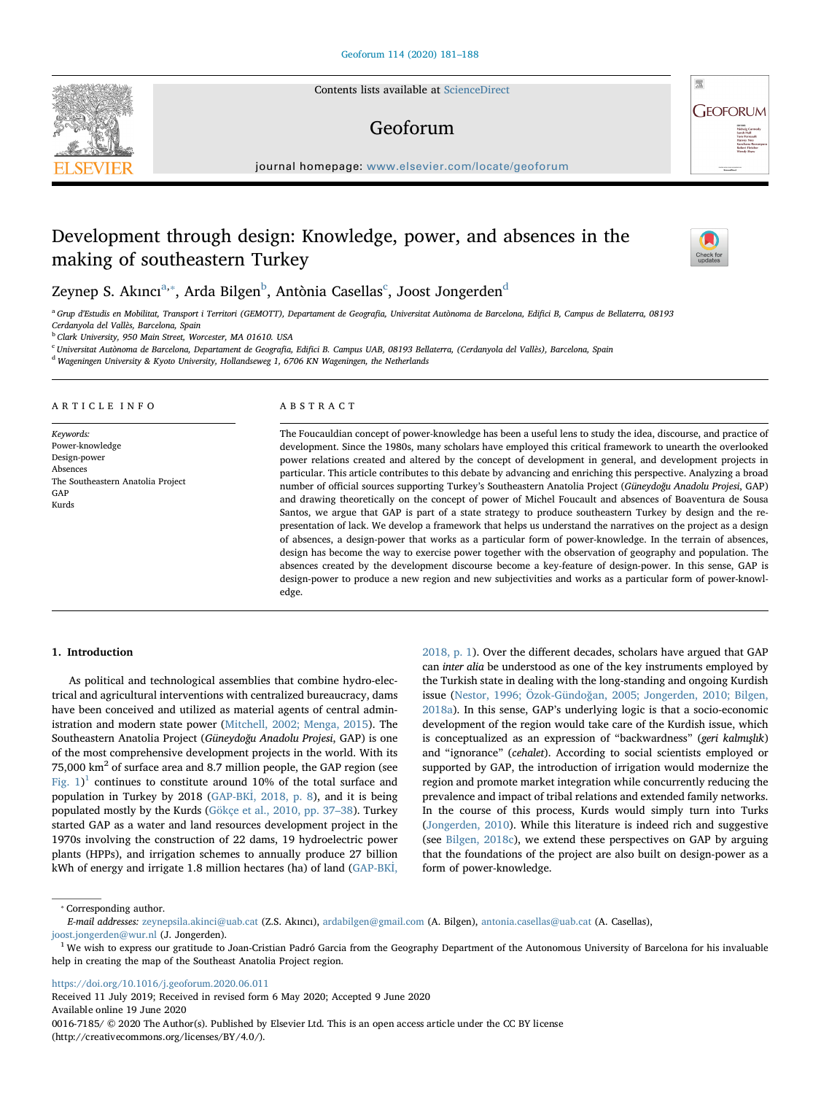Contents lists available at [ScienceDirect](http://www.sciencedirect.com/science/journal/00167185)

## Geoforum

journal homepage: [www.elsevier.com/locate/geoforum](https://www.elsevier.com/locate/geoforum)

# Development through design: Knowledge, power, and absences in the making of southeastern Turkey

Zeynep S. Akın[c](#page-0-3)ı $^{\mathrm{a},*}$  $^{\mathrm{a},*}$  $^{\mathrm{a},*}$ , Ar[d](#page-0-4)a Bilgen $^{\mathrm{b}}$  $^{\mathrm{b}}$  $^{\mathrm{b}}$ , Antònia Casellas $^{\mathrm{c}}$ , Joost Jongerden $^{\mathrm{d}}$ 

<span id="page-0-0"></span><sup>a</sup> Grup d'Estudis en Mobilitat, Transport i Territori (GEMOTT), Departament de Geografia, Universitat Autònoma de Barcelona, Edifici B, Campus de Bellaterra, 08193 Cerdanyola del Vallès, Barcelona, Spain

<span id="page-0-2"></span><sup>b</sup> Clark University, 950 Main Street, Worcester, MA 01610. USA

<span id="page-0-3"></span><sup>c</sup> Universitat Autònoma de Barcelona, Departament de Geografia, Edifici B. Campus UAB, 08193 Bellaterra, (Cerdanyola del Vallès), Barcelona, Spain

<span id="page-0-4"></span><sup>d</sup> Wageningen University & Kyoto University, Hollandseweg 1, 6706 KN Wageningen, the Netherlands

#### ARTICLE INFO

Keywords: Power-knowledge Design-power Absences The Southeastern Anatolia Project GAP Kurds

#### ABSTRACT

The Foucauldian concept of power-knowledge has been a useful lens to study the idea, discourse, and practice of development. Since the 1980s, many scholars have employed this critical framework to unearth the overlooked power relations created and altered by the concept of development in general, and development projects in particular. This article contributes to this debate by advancing and enriching this perspective. Analyzing a broad number of official sources supporting Turkey's Southeastern Anatolia Project (Güneydoğu Anadolu Projesi, GAP) and drawing theoretically on the concept of power of Michel Foucault and absences of Boaventura de Sousa Santos, we argue that GAP is part of a state strategy to produce southeastern Turkey by design and the representation of lack. We develop a framework that helps us understand the narratives on the project as a design of absences, a design-power that works as a particular form of power-knowledge. In the terrain of absences, design has become the way to exercise power together with the observation of geography and population. The absences created by the development discourse become a key-feature of design-power. In this sense, GAP is design-power to produce a new region and new subjectivities and works as a particular form of power-knowledge.

#### 1. Introduction

As political and technological assemblies that combine hydro-electrical and agricultural interventions with centralized bureaucracy, dams have been conceived and utilized as material agents of central administration and modern state power [\(Mitchell, 2002; Menga, 2015](#page-7-0)). The Southeastern Anatolia Project (Güneydoğu Anadolu Projesi, GAP) is one of the most comprehensive development projects in the world. With its 75,000 km<sup>2</sup> of surface area and 8.7 million people, the GAP region (see Fig.  $1$ <sup>1</sup> continues to constitute around 10% of the total surface and population in Turkey by 2018 (GAP-BKİ[, 2018, p. 8](#page-6-0)), and it is being populated mostly by the Kurds ([Gökçe et al., 2010, pp. 37](#page-6-1)–38). Turkey started GAP as a water and land resources development project in the 1970s involving the construction of 22 dams, 19 hydroelectric power plants (HPPs), and irrigation schemes to annually produce 27 billion kWh of energy and irrigate 1.8 million hectares (ha) of land ([GAP-BK](#page-6-0)İ,

[2018, p. 1\)](#page-6-0). Over the different decades, scholars have argued that GAP can inter alia be understood as one of the key instruments employed by the Turkish state in dealing with the long-standing and ongoing Kurdish issue (Nestor, 1996; Özok-Gündoğ[an, 2005; Jongerden, 2010; Bilgen,](#page-7-1) [2018a\)](#page-7-1). In this sense, GAP's underlying logic is that a socio-economic development of the region would take care of the Kurdish issue, which is conceptualized as an expression of "backwardness" (geri kalmışlık) and "ignorance" (cehalet). According to social scientists employed or supported by GAP, the introduction of irrigation would modernize the region and promote market integration while concurrently reducing the prevalence and impact of tribal relations and extended family networks. In the course of this process, Kurds would simply turn into Turks ([Jongerden, 2010\)](#page-7-2). While this literature is indeed rich and suggestive (see [Bilgen, 2018c\)](#page-6-2), we extend these perspectives on GAP by arguing that the foundations of the project are also built on design-power as a form of power-knowledge.

<https://doi.org/10.1016/j.geoforum.2020.06.011>

Received 11 July 2019; Received in revised form 6 May 2020; Accepted 9 June 2020 Available online 19 June 2020 0016-7185/ © 2020 The Author(s). Published by Elsevier Ltd. This is an open access article under the CC BY license (http://creativecommons.org/licenses/BY/4.0/).





 $\frac{N}{2}$ 

<span id="page-0-1"></span><sup>⁎</sup> Corresponding author.

E-mail addresses: [zeynepsila.akinci@uab.cat](mailto:zeynepsila.akinci@uab.cat) (Z.S. Akıncı), [ardabilgen@gmail.com](mailto:ardabilgen@gmail.com) (A. Bilgen), [antonia.casellas@uab.cat](mailto:antonia.casellas@uab.cat) (A. Casellas), [joost.jongerden@wur.nl](mailto:joost.jongerden@wur.nl) (J. Jongerden).

<span id="page-0-5"></span><sup>&</sup>lt;sup>1</sup> We wish to express our gratitude to Joan-Cristian Padró Garcia from the Geography Department of the Autonomous University of Barcelona for his invaluable help in creating the map of the Southeast Anatolia Project region.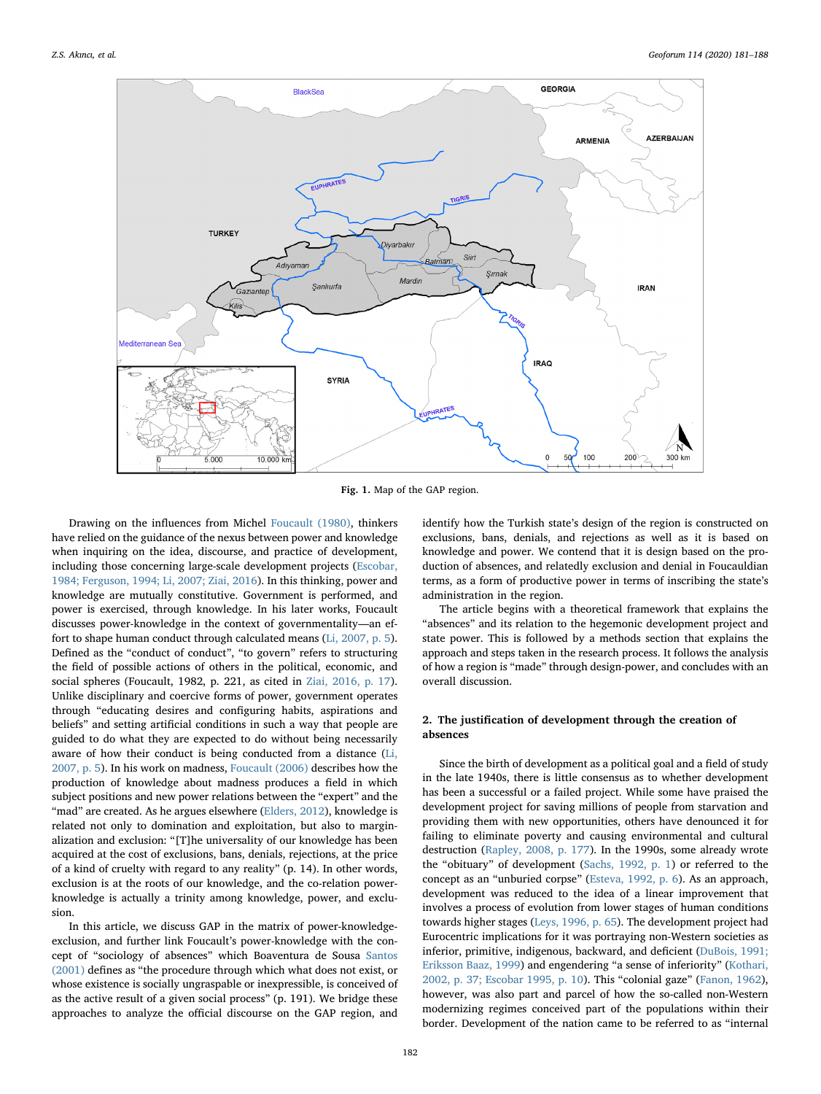<span id="page-1-0"></span>

Fig. 1. Map of the GAP region.

Drawing on the influences from Michel [Foucault \(1980\)](#page-6-3), thinkers have relied on the guidance of the nexus between power and knowledge when inquiring on the idea, discourse, and practice of development, including those concerning large-scale development projects ([Escobar,](#page-6-4) [1984; Ferguson, 1994; Li, 2007; Ziai, 2016\)](#page-6-4). In this thinking, power and knowledge are mutually constitutive. Government is performed, and power is exercised, through knowledge. In his later works, Foucault discusses power-knowledge in the context of governmentality—an effort to shape human conduct through calculated means ([Li, 2007, p. 5](#page-7-3)). Defined as the "conduct of conduct", "to govern" refers to structuring the field of possible actions of others in the political, economic, and social spheres (Foucault, 1982, p. 221, as cited in [Ziai, 2016, p. 17](#page-7-4)). Unlike disciplinary and coercive forms of power, government operates through "educating desires and configuring habits, aspirations and beliefs" and setting artificial conditions in such a way that people are guided to do what they are expected to do without being necessarily aware of how their conduct is being conducted from a distance ([Li,](#page-7-3) [2007, p. 5](#page-7-3)). In his work on madness, [Foucault \(2006\)](#page-6-5) describes how the production of knowledge about madness produces a field in which subject positions and new power relations between the "expert" and the "mad" are created. As he argues elsewhere ([Elders, 2012\)](#page-6-6), knowledge is related not only to domination and exploitation, but also to marginalization and exclusion: "[T]he universality of our knowledge has been acquired at the cost of exclusions, bans, denials, rejections, at the price of a kind of cruelty with regard to any reality" (p. 14). In other words, exclusion is at the roots of our knowledge, and the co-relation powerknowledge is actually a trinity among knowledge, power, and exclusion.

In this article, we discuss GAP in the matrix of power-knowledgeexclusion, and further link Foucault's power-knowledge with the concept of "sociology of absences" which Boaventura de Sousa [Santos](#page-7-5) [\(2001\)](#page-7-5) defines as "the procedure through which what does not exist, or whose existence is socially ungraspable or inexpressible, is conceived of as the active result of a given social process" (p. 191). We bridge these approaches to analyze the official discourse on the GAP region, and

identify how the Turkish state's design of the region is constructed on exclusions, bans, denials, and rejections as well as it is based on knowledge and power. We contend that it is design based on the production of absences, and relatedly exclusion and denial in Foucauldian terms, as a form of productive power in terms of inscribing the state's administration in the region.

The article begins with a theoretical framework that explains the "absences" and its relation to the hegemonic development project and state power. This is followed by a methods section that explains the approach and steps taken in the research process. It follows the analysis of how a region is "made" through design-power, and concludes with an overall discussion.

### 2. The justification of development through the creation of absences

Since the birth of development as a political goal and a field of study in the late 1940s, there is little consensus as to whether development has been a successful or a failed project. While some have praised the development project for saving millions of people from starvation and providing them with new opportunities, others have denounced it for failing to eliminate poverty and causing environmental and cultural destruction [\(Rapley, 2008, p. 177\)](#page-7-6). In the 1990s, some already wrote the "obituary" of development ([Sachs, 1992, p. 1](#page-7-7)) or referred to the concept as an "unburied corpse" ([Esteva, 1992, p. 6](#page-6-7)). As an approach, development was reduced to the idea of a linear improvement that involves a process of evolution from lower stages of human conditions towards higher stages ([Leys, 1996, p. 65\)](#page-7-8). The development project had Eurocentric implications for it was portraying non-Western societies as inferior, primitive, indigenous, backward, and deficient [\(DuBois, 1991;](#page-6-8) [Eriksson Baaz, 1999\)](#page-6-8) and engendering "a sense of inferiority" [\(Kothari,](#page-7-9) [2002, p. 37; Escobar 1995, p. 10](#page-7-9)). This "colonial gaze" ([Fanon, 1962](#page-6-9)), however, was also part and parcel of how the so-called non-Western modernizing regimes conceived part of the populations within their border. Development of the nation came to be referred to as "internal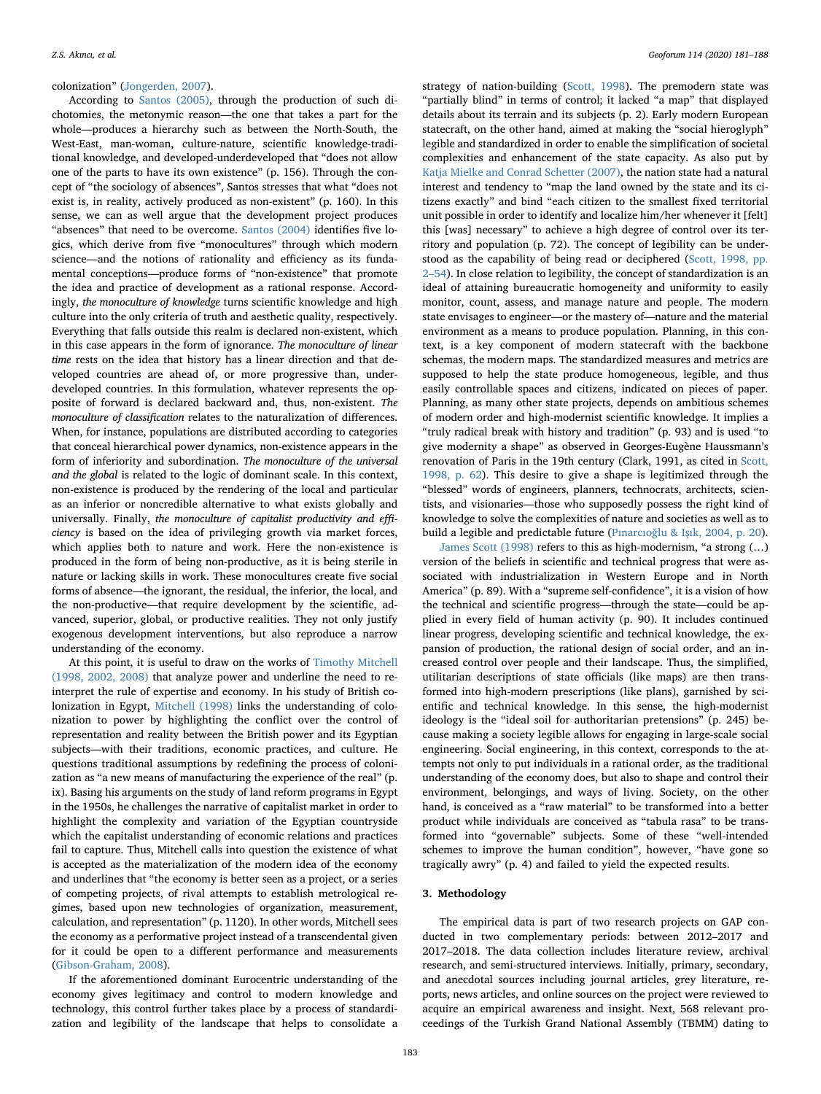#### colonization" [\(Jongerden, 2007\)](#page-7-10).

According to [Santos \(2005\),](#page-7-11) through the production of such dichotomies, the metonymic reason—the one that takes a part for the whole—produces a hierarchy such as between the North-South, the West-East, man-woman, culture-nature, scientific knowledge-traditional knowledge, and developed-underdeveloped that "does not allow one of the parts to have its own existence" (p. 156). Through the concept of "the sociology of absences", Santos stresses that what "does not exist is, in reality, actively produced as non-existent" (p. 160). In this sense, we can as well argue that the development project produces "absences" that need to be overcome. [Santos \(2004\)](#page-7-12) identifies five logics, which derive from five "monocultures" through which modern science—and the notions of rationality and efficiency as its fundamental conceptions—produce forms of "non-existence" that promote the idea and practice of development as a rational response. Accordingly, the monoculture of knowledge turns scientific knowledge and high culture into the only criteria of truth and aesthetic quality, respectively. Everything that falls outside this realm is declared non-existent, which in this case appears in the form of ignorance. The monoculture of linear time rests on the idea that history has a linear direction and that developed countries are ahead of, or more progressive than, underdeveloped countries. In this formulation, whatever represents the opposite of forward is declared backward and, thus, non-existent. The monoculture of classification relates to the naturalization of differences. When, for instance, populations are distributed according to categories that conceal hierarchical power dynamics, non-existence appears in the form of inferiority and subordination. The monoculture of the universal and the global is related to the logic of dominant scale. In this context, non-existence is produced by the rendering of the local and particular as an inferior or noncredible alternative to what exists globally and universally. Finally, the monoculture of capitalist productivity and efficiency is based on the idea of privileging growth via market forces, which applies both to nature and work. Here the non-existence is produced in the form of being non-productive, as it is being sterile in nature or lacking skills in work. These monocultures create five social forms of absence—the ignorant, the residual, the inferior, the local, and the non-productive—that require development by the scientific, advanced, superior, global, or productive realities. They not only justify exogenous development interventions, but also reproduce a narrow understanding of the economy.

At this point, it is useful to draw on the works of [Timothy Mitchell](#page-7-13) [\(1998, 2002, 2008\)](#page-7-13) that analyze power and underline the need to reinterpret the rule of expertise and economy. In his study of British colonization in Egypt, [Mitchell \(1998\)](#page-7-13) links the understanding of colonization to power by highlighting the conflict over the control of representation and reality between the British power and its Egyptian subjects—with their traditions, economic practices, and culture. He questions traditional assumptions by redefining the process of colonization as "a new means of manufacturing the experience of the real" (p. ix). Basing his arguments on the study of land reform programs in Egypt in the 1950s, he challenges the narrative of capitalist market in order to highlight the complexity and variation of the Egyptian countryside which the capitalist understanding of economic relations and practices fail to capture. Thus, Mitchell calls into question the existence of what is accepted as the materialization of the modern idea of the economy and underlines that "the economy is better seen as a project, or a series of competing projects, of rival attempts to establish metrological regimes, based upon new technologies of organization, measurement, calculation, and representation" (p. 1120). In other words, Mitchell sees the economy as a performative project instead of a transcendental given for it could be open to a different performance and measurements ([Gibson-Graham, 2008](#page-6-10)).

If the aforementioned dominant Eurocentric understanding of the economy gives legitimacy and control to modern knowledge and technology, this control further takes place by a process of standardization and legibility of the landscape that helps to consolidate a

strategy of nation-building ([Scott, 1998\)](#page-7-14). The premodern state was "partially blind" in terms of control; it lacked "a map" that displayed details about its terrain and its subjects (p. 2). Early modern European statecraft, on the other hand, aimed at making the "social hieroglyph" legible and standardized in order to enable the simplification of societal complexities and enhancement of the state capacity. As also put by [Katja Mielke and Conrad Schetter \(2007\)](#page-7-15), the nation state had a natural interest and tendency to "map the land owned by the state and its citizens exactly" and bind "each citizen to the smallest fixed territorial unit possible in order to identify and localize him/her whenever it [felt] this [was] necessary" to achieve a high degree of control over its territory and population (p. 72). The concept of legibility can be understood as the capability of being read or deciphered ([Scott, 1998, pp.](#page-7-14) 2–[54](#page-7-14)). In close relation to legibility, the concept of standardization is an ideal of attaining bureaucratic homogeneity and uniformity to easily monitor, count, assess, and manage nature and people. The modern state envisages to engineer—or the mastery of—nature and the material environment as a means to produce population. Planning, in this context, is a key component of modern statecraft with the backbone schemas, the modern maps. The standardized measures and metrics are supposed to help the state produce homogeneous, legible, and thus easily controllable spaces and citizens, indicated on pieces of paper. Planning, as many other state projects, depends on ambitious schemes of modern order and high-modernist scientific knowledge. It implies a "truly radical break with history and tradition" (p. 93) and is used "to give modernity a shape" as observed in Georges-Eugène Haussmann's renovation of Paris in the 19th century (Clark, 1991, as cited in [Scott,](#page-7-14) [1998, p. 62\)](#page-7-14). This desire to give a shape is legitimized through the "blessed" words of engineers, planners, technocrats, architects, scientists, and visionaries—those who supposedly possess the right kind of knowledge to solve the complexities of nature and societies as well as to build a legible and predictable future (Pınarcıoğlu & Işı[k, 2004, p. 20](#page-7-16)).

[James Scott \(1998\)](#page-7-14) refers to this as high-modernism, "a strong (…) version of the beliefs in scientific and technical progress that were associated with industrialization in Western Europe and in North America" (p. 89). With a "supreme self-confidence", it is a vision of how the technical and scientific progress—through the state—could be applied in every field of human activity (p. 90). It includes continued linear progress, developing scientific and technical knowledge, the expansion of production, the rational design of social order, and an increased control over people and their landscape. Thus, the simplified, utilitarian descriptions of state officials (like maps) are then transformed into high-modern prescriptions (like plans), garnished by scientific and technical knowledge. In this sense, the high-modernist ideology is the "ideal soil for authoritarian pretensions" (p. 245) because making a society legible allows for engaging in large-scale social engineering. Social engineering, in this context, corresponds to the attempts not only to put individuals in a rational order, as the traditional understanding of the economy does, but also to shape and control their environment, belongings, and ways of living. Society, on the other hand, is conceived as a "raw material" to be transformed into a better product while individuals are conceived as "tabula rasa" to be transformed into "governable" subjects. Some of these "well-intended schemes to improve the human condition", however, "have gone so tragically awry" (p. 4) and failed to yield the expected results.

#### 3. Methodology

The empirical data is part of two research projects on GAP conducted in two complementary periods: between 2012–2017 and 2017–2018. The data collection includes literature review, archival research, and semi-structured interviews. Initially, primary, secondary, and anecdotal sources including journal articles, grey literature, reports, news articles, and online sources on the project were reviewed to acquire an empirical awareness and insight. Next, 568 relevant proceedings of the Turkish Grand National Assembly (TBMM) dating to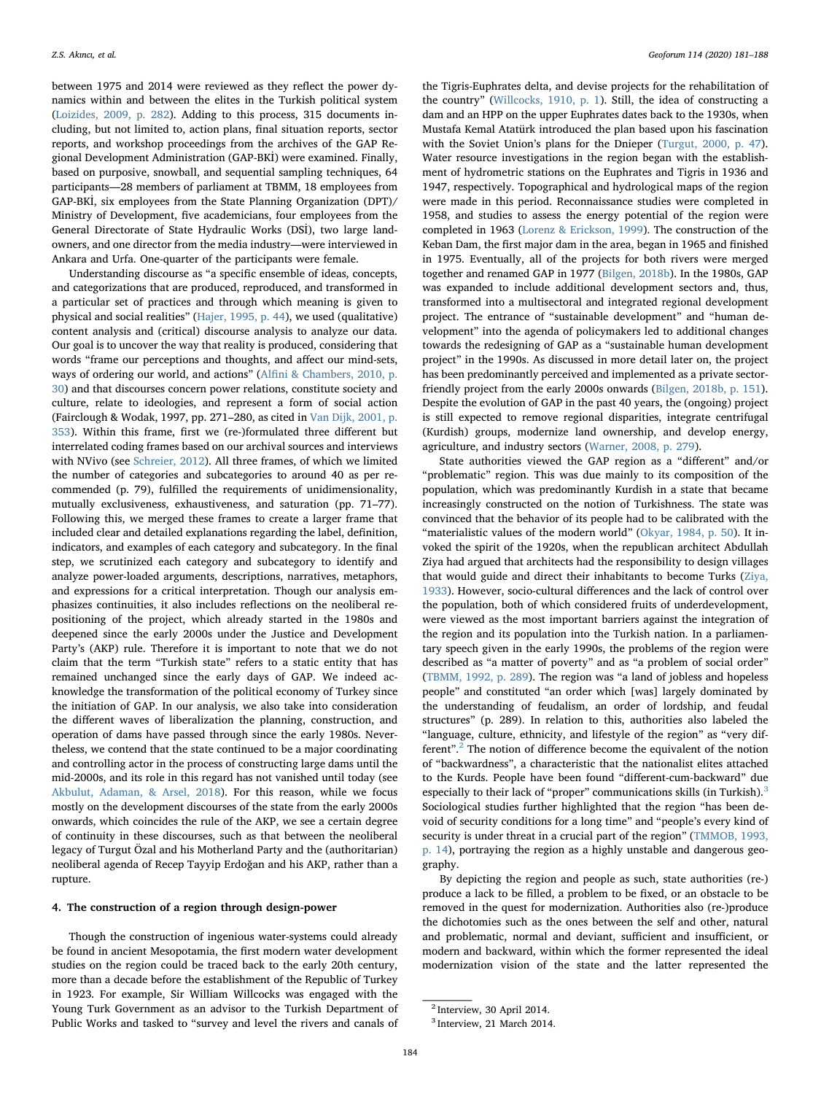between 1975 and 2014 were reviewed as they reflect the power dynamics within and between the elites in the Turkish political system ([Loizides, 2009, p. 282\)](#page-7-17). Adding to this process, 315 documents including, but not limited to, action plans, final situation reports, sector reports, and workshop proceedings from the archives of the GAP Regional Development Administration (GAP-BKİ) were examined. Finally, based on purposive, snowball, and sequential sampling techniques, 64 participants—28 members of parliament at TBMM, 18 employees from GAP-BKİ, six employees from the State Planning Organization (DPT)/ Ministry of Development, five academicians, four employees from the General Directorate of State Hydraulic Works (DSİ), two large landowners, and one director from the media industry—were interviewed in Ankara and Urfa. One-quarter of the participants were female.

Understanding discourse as "a specific ensemble of ideas, concepts, and categorizations that are produced, reproduced, and transformed in a particular set of practices and through which meaning is given to physical and social realities" [\(Hajer, 1995, p. 44\)](#page-7-18), we used (qualitative) content analysis and (critical) discourse analysis to analyze our data. Our goal is to uncover the way that reality is produced, considering that words "frame our perceptions and thoughts, and affect our mind-sets, ways of ordering our world, and actions" (Alfi[ni & Chambers, 2010, p.](#page-6-11) [30\)](#page-6-11) and that discourses concern power relations, constitute society and culture, relate to ideologies, and represent a form of social action (Fairclough & Wodak, 1997, pp. 271–280, as cited in [Van Dijk, 2001, p.](#page-7-19) [353](#page-7-19)). Within this frame, first we (re-)formulated three different but interrelated coding frames based on our archival sources and interviews with NVivo (see [Schreier, 2012](#page-7-20)). All three frames, of which we limited the number of categories and subcategories to around 40 as per recommended (p. 79), fulfilled the requirements of unidimensionality, mutually exclusiveness, exhaustiveness, and saturation (pp. 71–77). Following this, we merged these frames to create a larger frame that included clear and detailed explanations regarding the label, definition, indicators, and examples of each category and subcategory. In the final step, we scrutinized each category and subcategory to identify and analyze power-loaded arguments, descriptions, narratives, metaphors, and expressions for a critical interpretation. Though our analysis emphasizes continuities, it also includes reflections on the neoliberal repositioning of the project, which already started in the 1980s and deepened since the early 2000s under the Justice and Development Party's (AKP) rule. Therefore it is important to note that we do not claim that the term "Turkish state" refers to a static entity that has remained unchanged since the early days of GAP. We indeed acknowledge the transformation of the political economy of Turkey since the initiation of GAP. In our analysis, we also take into consideration the different waves of liberalization the planning, construction, and operation of dams have passed through since the early 1980s. Nevertheless, we contend that the state continued to be a major coordinating and controlling actor in the process of constructing large dams until the mid-2000s, and its role in this regard has not vanished until today (see [Akbulut, Adaman, & Arsel, 2018](#page-6-12)). For this reason, while we focus mostly on the development discourses of the state from the early 2000s onwards, which coincides the rule of the AKP, we see a certain degree of continuity in these discourses, such as that between the neoliberal legacy of Turgut Özal and his Motherland Party and the (authoritarian) neoliberal agenda of Recep Tayyip Erdoğan and his AKP, rather than a rupture.

#### 4. The construction of a region through design-power

Though the construction of ingenious water-systems could already be found in ancient Mesopotamia, the first modern water development studies on the region could be traced back to the early 20th century, more than a decade before the establishment of the Republic of Turkey in 1923. For example, Sir William Willcocks was engaged with the Young Turk Government as an advisor to the Turkish Department of Public Works and tasked to "survey and level the rivers and canals of

the Tigris-Euphrates delta, and devise projects for the rehabilitation of the country" [\(Willcocks, 1910, p. 1\)](#page-7-21). Still, the idea of constructing a dam and an HPP on the upper Euphrates dates back to the 1930s, when Mustafa Kemal Atatürk introduced the plan based upon his fascination with the Soviet Union's plans for the Dnieper [\(Turgut, 2000, p. 47](#page-7-22)). Water resource investigations in the region began with the establishment of hydrometric stations on the Euphrates and Tigris in 1936 and 1947, respectively. Topographical and hydrological maps of the region were made in this period. Reconnaissance studies were completed in 1958, and studies to assess the energy potential of the region were completed in 1963 [\(Lorenz & Erickson, 1999\)](#page-7-23). The construction of the Keban Dam, the first major dam in the area, began in 1965 and finished in 1975. Eventually, all of the projects for both rivers were merged together and renamed GAP in 1977 ([Bilgen, 2018b](#page-6-13)). In the 1980s, GAP was expanded to include additional development sectors and, thus, transformed into a multisectoral and integrated regional development project. The entrance of "sustainable development" and "human development" into the agenda of policymakers led to additional changes towards the redesigning of GAP as a "sustainable human development project" in the 1990s. As discussed in more detail later on, the project has been predominantly perceived and implemented as a private sectorfriendly project from the early 2000s onwards ([Bilgen, 2018b, p. 151](#page-6-13)). Despite the evolution of GAP in the past 40 years, the (ongoing) project is still expected to remove regional disparities, integrate centrifugal (Kurdish) groups, modernize land ownership, and develop energy, agriculture, and industry sectors [\(Warner, 2008, p. 279](#page-7-24)).

State authorities viewed the GAP region as a "different" and/or "problematic" region. This was due mainly to its composition of the population, which was predominantly Kurdish in a state that became increasingly constructed on the notion of Turkishness. The state was convinced that the behavior of its people had to be calibrated with the "materialistic values of the modern world" ([Okyar, 1984, p. 50](#page-7-25)). It invoked the spirit of the 1920s, when the republican architect Abdullah Ziya had argued that architects had the responsibility to design villages that would guide and direct their inhabitants to become Turks [\(Ziya,](#page-7-26) [1933\)](#page-7-26). However, socio-cultural differences and the lack of control over the population, both of which considered fruits of underdevelopment, were viewed as the most important barriers against the integration of the region and its population into the Turkish nation. In a parliamentary speech given in the early 1990s, the problems of the region were described as "a matter of poverty" and as "a problem of social order" ([TBMM, 1992, p. 289](#page-7-27)). The region was "a land of jobless and hopeless people" and constituted "an order which [was] largely dominated by the understanding of feudalism, an order of lordship, and feudal structures" (p. 289). In relation to this, authorities also labeled the "language, culture, ethnicity, and lifestyle of the region" as "very different". [2](#page-3-0) The notion of difference become the equivalent of the notion of "backwardness", a characteristic that the nationalist elites attached to the Kurds. People have been found "different-cum-backward" due especially to their lack of "proper" communications skills (in Turkish).<sup>[3](#page-3-1)</sup> Sociological studies further highlighted that the region "has been devoid of security conditions for a long time" and "people's every kind of security is under threat in a crucial part of the region" ([TMMOB, 1993,](#page-7-28) [p. 14](#page-7-28)), portraying the region as a highly unstable and dangerous geography.

By depicting the region and people as such, state authorities (re-) produce a lack to be filled, a problem to be fixed, or an obstacle to be removed in the quest for modernization. Authorities also (re-)produce the dichotomies such as the ones between the self and other, natural and problematic, normal and deviant, sufficient and insufficient, or modern and backward, within which the former represented the ideal modernization vision of the state and the latter represented the

<span id="page-3-0"></span><sup>2</sup> Interview, 30 April 2014.

<span id="page-3-1"></span><sup>3</sup> Interview, 21 March 2014.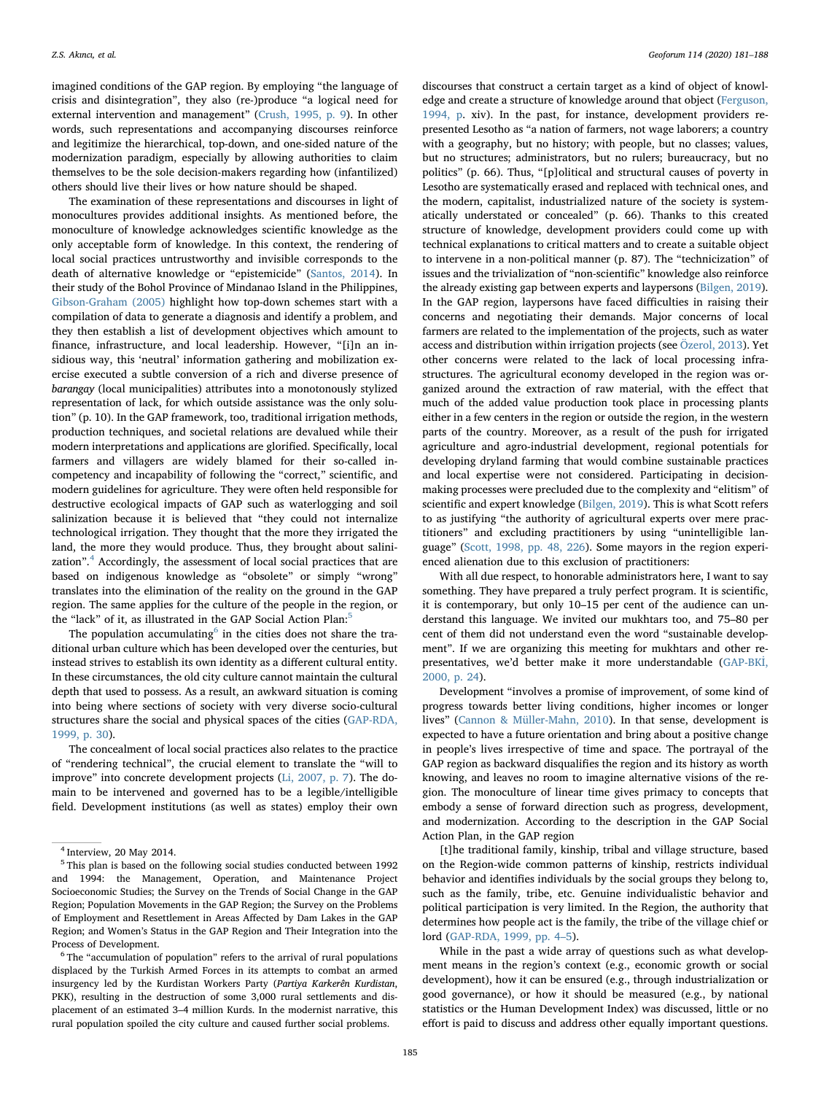imagined conditions of the GAP region. By employing "the language of crisis and disintegration", they also (re-)produce "a logical need for external intervention and management" ([Crush, 1995, p. 9](#page-6-14)). In other words, such representations and accompanying discourses reinforce and legitimize the hierarchical, top-down, and one-sided nature of the modernization paradigm, especially by allowing authorities to claim themselves to be the sole decision-makers regarding how (infantilized) others should live their lives or how nature should be shaped.

The examination of these representations and discourses in light of monocultures provides additional insights. As mentioned before, the monoculture of knowledge acknowledges scientific knowledge as the only acceptable form of knowledge. In this context, the rendering of local social practices untrustworthy and invisible corresponds to the death of alternative knowledge or "epistemicide" [\(Santos, 2014](#page-7-29)). In their study of the Bohol Province of Mindanao Island in the Philippines, [Gibson-Graham \(2005\)](#page-6-15) highlight how top-down schemes start with a compilation of data to generate a diagnosis and identify a problem, and they then establish a list of development objectives which amount to finance, infrastructure, and local leadership. However, "[i]n an insidious way, this 'neutral' information gathering and mobilization exercise executed a subtle conversion of a rich and diverse presence of barangay (local municipalities) attributes into a monotonously stylized representation of lack, for which outside assistance was the only solution" (p. 10). In the GAP framework, too, traditional irrigation methods, production techniques, and societal relations are devalued while their modern interpretations and applications are glorified. Specifically, local farmers and villagers are widely blamed for their so-called incompetency and incapability of following the "correct," scientific, and modern guidelines for agriculture. They were often held responsible for destructive ecological impacts of GAP such as waterlogging and soil salinization because it is believed that "they could not internalize technological irrigation. They thought that the more they irrigated the land, the more they would produce. Thus, they brought about salini-zation".<sup>[4](#page-4-0)</sup> Accordingly, the assessment of local social practices that are based on indigenous knowledge as "obsolete" or simply "wrong" translates into the elimination of the reality on the ground in the GAP region. The same applies for the culture of the people in the region, or the "lack" of it, as illustrated in the GAP Social Action Plan:<sup>[5](#page-4-1)</sup>

The population accumulating $6$  in the cities does not share the traditional urban culture which has been developed over the centuries, but instead strives to establish its own identity as a different cultural entity. In these circumstances, the old city culture cannot maintain the cultural depth that used to possess. As a result, an awkward situation is coming into being where sections of society with very diverse socio-cultural structures share the social and physical spaces of the cities [\(GAP-RDA,](#page-6-16) [1999, p. 30\)](#page-6-16).

The concealment of local social practices also relates to the practice of "rendering technical", the crucial element to translate the "will to improve" into concrete development projects ([Li, 2007, p. 7](#page-7-3)). The domain to be intervened and governed has to be a legible/intelligible field. Development institutions (as well as states) employ their own

<span id="page-4-2"></span><sup>6</sup> The "accumulation of population" refers to the arrival of rural populations displaced by the Turkish Armed Forces in its attempts to combat an armed insurgency led by the Kurdistan Workers Party (Partiya Karkerên Kurdistan, PKK), resulting in the destruction of some 3,000 rural settlements and displacement of an estimated 3–4 million Kurds. In the modernist narrative, this rural population spoiled the city culture and caused further social problems.

discourses that construct a certain target as a kind of object of knowledge and create a structure of knowledge around that object [\(Ferguson,](#page-6-17) [1994, p.](#page-6-17) xiv). In the past, for instance, development providers represented Lesotho as "a nation of farmers, not wage laborers; a country with a geography, but no history; with people, but no classes; values, but no structures; administrators, but no rulers; bureaucracy, but no politics" (p. 66). Thus, "[p]olitical and structural causes of poverty in Lesotho are systematically erased and replaced with technical ones, and the modern, capitalist, industrialized nature of the society is systematically understated or concealed" (p. 66). Thanks to this created structure of knowledge, development providers could come up with technical explanations to critical matters and to create a suitable object to intervene in a non-political manner (p. 87). The "technicization" of issues and the trivialization of "non-scientific" knowledge also reinforce the already existing gap between experts and laypersons [\(Bilgen, 2019](#page-6-18)). In the GAP region, laypersons have faced difficulties in raising their concerns and negotiating their demands. Major concerns of local farmers are related to the implementation of the projects, such as water access and distribution within irrigation projects (see [Özerol, 2013\)](#page-7-30). Yet other concerns were related to the lack of local processing infrastructures. The agricultural economy developed in the region was organized around the extraction of raw material, with the effect that much of the added value production took place in processing plants either in a few centers in the region or outside the region, in the western parts of the country. Moreover, as a result of the push for irrigated agriculture and agro-industrial development, regional potentials for developing dryland farming that would combine sustainable practices and local expertise were not considered. Participating in decisionmaking processes were precluded due to the complexity and "elitism" of scientific and expert knowledge ([Bilgen, 2019\)](#page-6-18). This is what Scott refers to as justifying "the authority of agricultural experts over mere practitioners" and excluding practitioners by using "unintelligible language" (Scott, [1998, pp. 48, 226\)](#page-7-14). Some mayors in the region experienced alienation due to this exclusion of practitioners:

With all due respect, to honorable administrators here, I want to say something. They have prepared a truly perfect program. It is scientific, it is contemporary, but only 10–15 per cent of the audience can understand this language. We invited our mukhtars too, and 75–80 per cent of them did not understand even the word "sustainable development". If we are organizing this meeting for mukhtars and other representatives, we'd better make it more understandable ([GAP-BK](#page-6-19)İ, [2000, p. 24\)](#page-6-19).

Development "involves a promise of improvement, of some kind of progress towards better living conditions, higher incomes or longer lives" ([Cannon & Müller-Mahn, 2010\)](#page-6-20). In that sense, development is expected to have a future orientation and bring about a positive change in people's lives irrespective of time and space. The portrayal of the GAP region as backward disqualifies the region and its history as worth knowing, and leaves no room to imagine alternative visions of the region. The monoculture of linear time gives primacy to concepts that embody a sense of forward direction such as progress, development, and modernization. According to the description in the GAP Social Action Plan, in the GAP region

[t]he traditional family, kinship, tribal and village structure, based on the Region-wide common patterns of kinship, restricts individual behavior and identifies individuals by the social groups they belong to, such as the family, tribe, etc. Genuine individualistic behavior and political participation is very limited. In the Region, the authority that determines how people act is the family, the tribe of the village chief or lord ([GAP-RDA, 1999, pp. 4](#page-6-16)–5).

While in the past a wide array of questions such as what development means in the region's context (e.g., economic growth or social development), how it can be ensured (e.g., through industrialization or good governance), or how it should be measured (e.g., by national statistics or the Human Development Index) was discussed, little or no effort is paid to discuss and address other equally important questions.

<span id="page-4-0"></span><sup>4</sup> Interview, 20 May 2014.

<span id="page-4-1"></span><sup>5</sup> This plan is based on the following social studies conducted between 1992 and 1994: the Management, Operation, and Maintenance Project Socioeconomic Studies; the Survey on the Trends of Social Change in the GAP Region; Population Movements in the GAP Region; the Survey on the Problems of Employment and Resettlement in Areas Affected by Dam Lakes in the GAP Region; and Women's Status in the GAP Region and Their Integration into the Process of Development.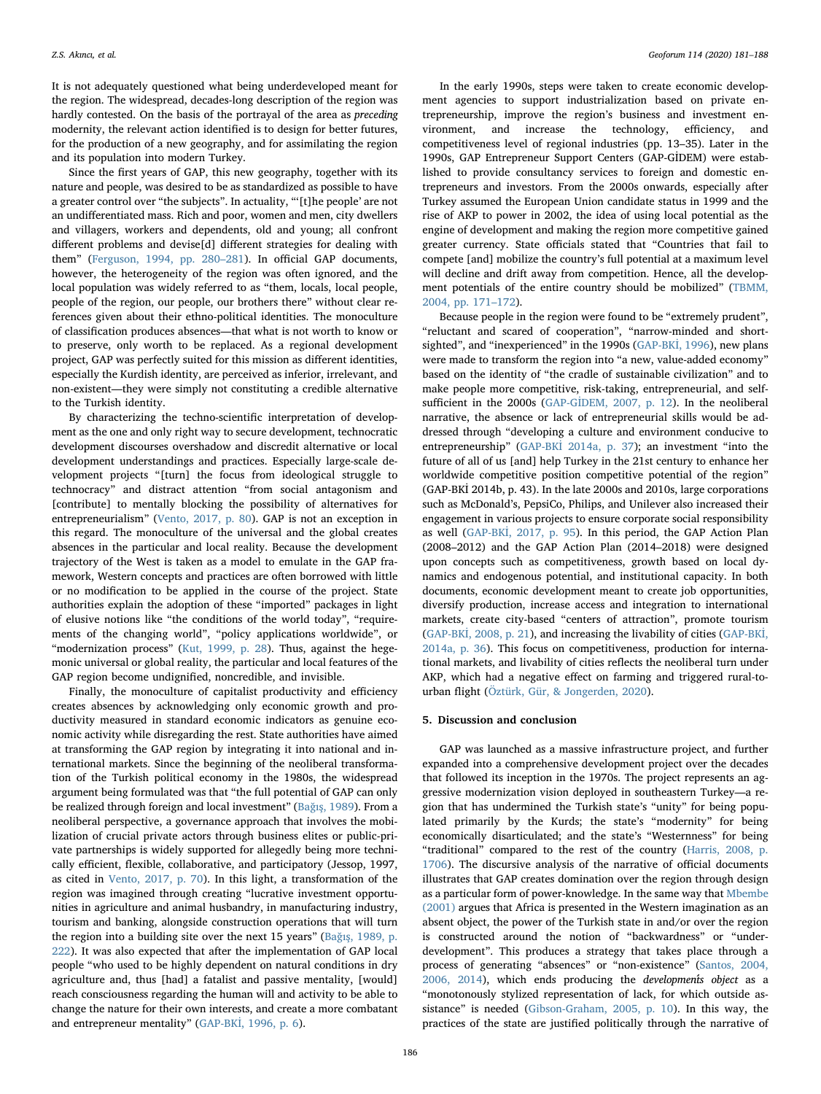It is not adequately questioned what being underdeveloped meant for the region. The widespread, decades-long description of the region was hardly contested. On the basis of the portrayal of the area as preceding modernity, the relevant action identified is to design for better futures, for the production of a new geography, and for assimilating the region and its population into modern Turkey.

Since the first years of GAP, this new geography, together with its nature and people, was desired to be as standardized as possible to have a greater control over "the subjects". In actuality, "'[t]he people' are not an undifferentiated mass. Rich and poor, women and men, city dwellers and villagers, workers and dependents, old and young; all confront different problems and devise<sup>[d]</sup> different strategies for dealing with them" ([Ferguson, 1994, pp. 280](#page-6-17)–281). In official GAP documents, however, the heterogeneity of the region was often ignored, and the local population was widely referred to as "them, locals, local people, people of the region, our people, our brothers there" without clear references given about their ethno-political identities. The monoculture of classification produces absences—that what is not worth to know or to preserve, only worth to be replaced. As a regional development project, GAP was perfectly suited for this mission as different identities, especially the Kurdish identity, are perceived as inferior, irrelevant, and non-existent—they were simply not constituting a credible alternative to the Turkish identity.

By characterizing the techno-scientific interpretation of development as the one and only right way to secure development, technocratic development discourses overshadow and discredit alternative or local development understandings and practices. Especially large-scale development projects "[turn] the focus from ideological struggle to technocracy" and distract attention "from social antagonism and [contribute] to mentally blocking the possibility of alternatives for entrepreneurialism" [\(Vento, 2017, p. 80](#page-7-31)). GAP is not an exception in this regard. The monoculture of the universal and the global creates absences in the particular and local reality. Because the development trajectory of the West is taken as a model to emulate in the GAP framework, Western concepts and practices are often borrowed with little or no modification to be applied in the course of the project. State authorities explain the adoption of these "imported" packages in light of elusive notions like "the conditions of the world today", "requirements of the changing world", "policy applications worldwide", or "modernization process" [\(Kut, 1999, p. 28\)](#page-7-32). Thus, against the hegemonic universal or global reality, the particular and local features of the GAP region become undignified, noncredible, and invisible.

Finally, the monoculture of capitalist productivity and efficiency creates absences by acknowledging only economic growth and productivity measured in standard economic indicators as genuine economic activity while disregarding the rest. State authorities have aimed at transforming the GAP region by integrating it into national and international markets. Since the beginning of the neoliberal transformation of the Turkish political economy in the 1980s, the widespread argument being formulated was that "the full potential of GAP can only be realized through foreign and local investment" (Bağış[, 1989\)](#page-6-21). From a neoliberal perspective, a governance approach that involves the mobilization of crucial private actors through business elites or public-private partnerships is widely supported for allegedly being more technically efficient, flexible, collaborative, and participatory (Jessop, 1997, as cited in [Vento, 2017, p. 70](#page-7-31)). In this light, a transformation of the region was imagined through creating "lucrative investment opportunities in agriculture and animal husbandry, in manufacturing industry, tourism and banking, alongside construction operations that will turn the region into a building site over the next 15 years" (Bağış[, 1989, p.](#page-6-21) [222](#page-6-21)). It was also expected that after the implementation of GAP local people "who used to be highly dependent on natural conditions in dry agriculture and, thus [had] a fatalist and passive mentality, [would] reach consciousness regarding the human will and activity to be able to change the nature for their own interests, and create a more combatant and entrepreneur mentality" (GAP-BKİ[, 1996, p. 6\)](#page-6-22).

In the early 1990s, steps were taken to create economic development agencies to support industrialization based on private entrepreneurship, improve the region's business and investment environment, and increase the technology, efficiency, and competitiveness level of regional industries (pp. 13–35). Later in the 1990s, GAP Entrepreneur Support Centers (GAP-GİDEM) were established to provide consultancy services to foreign and domestic entrepreneurs and investors. From the 2000s onwards, especially after Turkey assumed the European Union candidate status in 1999 and the rise of AKP to power in 2002, the idea of using local potential as the engine of development and making the region more competitive gained greater currency. State officials stated that "Countries that fail to compete [and] mobilize the country's full potential at a maximum level will decline and drift away from competition. Hence, all the development potentials of the entire country should be mobilized" ([TBMM,](#page-7-33) 2004, [pp. 171](#page-7-33)–172).

Because people in the region were found to be "extremely prudent", "reluctant and scared of cooperation", "narrow-minded and short-sighted", and "inexperienced" in the 1990s [\(GAP-BK](#page-6-22)İ, 1996), new plans were made to transform the region into "a new, value-added economy" based on the identity of "the cradle of sustainable civilization" and to make people more competitive, risk-taking, entrepreneurial, and selfsufficient in the 2000s (GAP-Gİ[DEM, 2007, p. 12\)](#page-6-23). In the neoliberal narrative, the absence or lack of entrepreneurial skills would be addressed through "developing a culture and environment conducive to entrepreneurship" (GAP-BKİ [2014a, p. 37](#page-6-24)); an investment "into the future of all of us [and] help Turkey in the 21st century to enhance her worldwide competitive position competitive potential of the region" (GAP-BKİ 2014b, p. 43). In the late 2000s and 2010s, large corporations such as McDonald's, PepsiCo, Philips, and Unilever also increased their engagement in various projects to ensure corporate social responsibility as well (GAP-BKİ[, 2017, p. 95\)](#page-6-25). In this period, the GAP Action Plan (2008–2012) and the GAP Action Plan (2014–2018) were designed upon concepts such as competitiveness, growth based on local dynamics and endogenous potential, and institutional capacity. In both documents, economic development meant to create job opportunities, diversify production, increase access and integration to international markets, create city-based "centers of attraction", promote tourism (GAP-BKİ[, 2008, p. 21\)](#page-6-26), and increasing the livability of cities ([GAP-BK](#page-6-24)İ, [2014a, p. 36\)](#page-6-24). This focus on competitiveness, production for international markets, and livability of cities reflects the neoliberal turn under AKP, which had a negative effect on farming and triggered rural-tourban flight [\(Öztürk, Gür, & Jongerden, 2020](#page-7-34)).

#### 5. Discussion and conclusion

GAP was launched as a massive infrastructure project, and further expanded into a comprehensive development project over the decades that followed its inception in the 1970s. The project represents an aggressive modernization vision deployed in southeastern Turkey—a region that has undermined the Turkish state's "unity" for being populated primarily by the Kurds; the state's "modernity" for being economically disarticulated; and the state's "Westernness" for being "traditional" compared to the rest of the country [\(Harris, 2008, p.](#page-7-35) [1706\)](#page-7-35). The discursive analysis of the narrative of official documents illustrates that GAP creates domination over the region through design as a particular form of power-knowledge. In the same way that [Mbembe](#page-7-36) [\(2001\)](#page-7-36) argues that Africa is presented in the Western imagination as an absent object, the power of the Turkish state in and/or over the region is constructed around the notion of "backwardness" or "underdevelopment". This produces a strategy that takes place through a process of generating "absences" or "non-existence" ([Santos, 2004,](#page-7-12) [2006, 2014](#page-7-12)), which ends producing the *developments* object as a "monotonously stylized representation of lack, for which outside assistance" is needed ([Gibson-Graham, 2005, p. 10\)](#page-6-15). In this way, the practices of the state are justified politically through the narrative of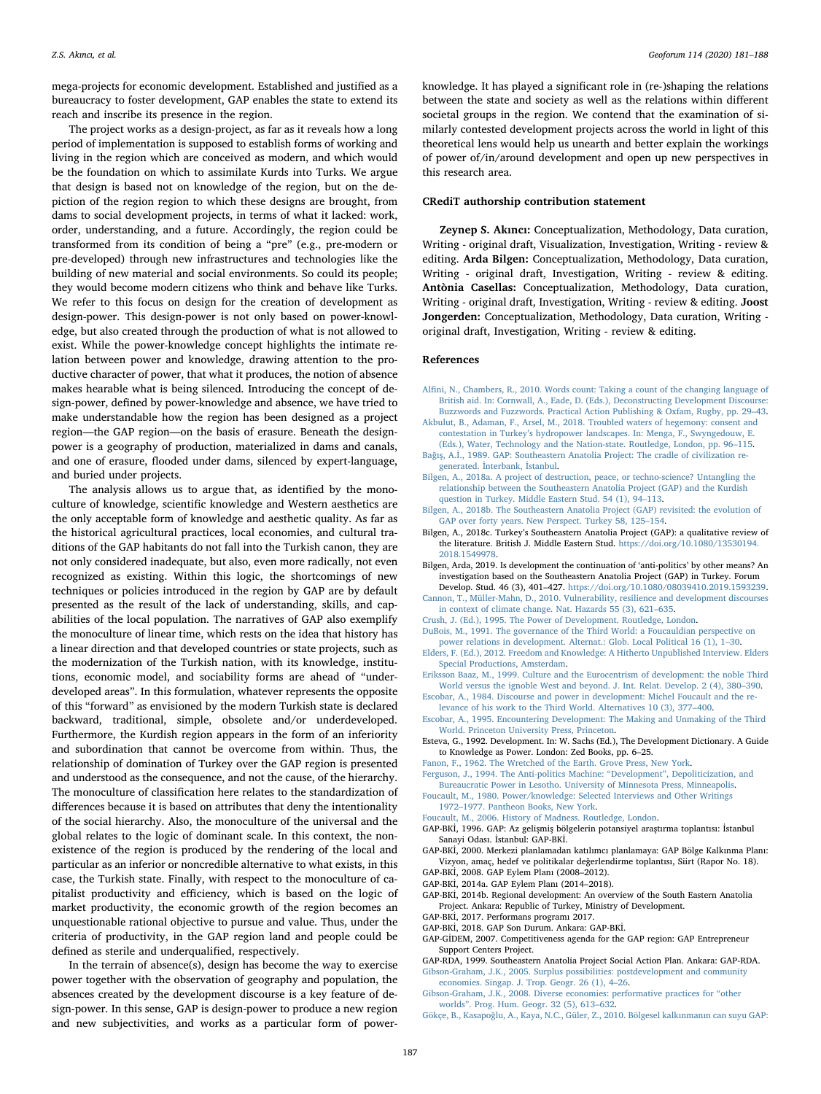mega-projects for economic development. Established and justified as a bureaucracy to foster development, GAP enables the state to extend its reach and inscribe its presence in the region.

The project works as a design-project, as far as it reveals how a long period of implementation is supposed to establish forms of working and living in the region which are conceived as modern, and which would be the foundation on which to assimilate Kurds into Turks. We argue that design is based not on knowledge of the region, but on the depiction of the region region to which these designs are brought, from dams to social development projects, in terms of what it lacked: work, order, understanding, and a future. Accordingly, the region could be transformed from its condition of being a "pre" (e.g., pre-modern or pre-developed) through new infrastructures and technologies like the building of new material and social environments. So could its people; they would become modern citizens who think and behave like Turks. We refer to this focus on design for the creation of development as design-power. This design-power is not only based on power-knowledge, but also created through the production of what is not allowed to exist. While the power-knowledge concept highlights the intimate relation between power and knowledge, drawing attention to the productive character of power, that what it produces, the notion of absence makes hearable what is being silenced. Introducing the concept of design-power, defined by power-knowledge and absence, we have tried to make understandable how the region has been designed as a project region—the GAP region—on the basis of erasure. Beneath the designpower is a geography of production, materialized in dams and canals, and one of erasure, flooded under dams, silenced by expert-language, and buried under projects.

The analysis allows us to argue that, as identified by the monoculture of knowledge, scientific knowledge and Western aesthetics are the only acceptable form of knowledge and aesthetic quality. As far as the historical agricultural practices, local economies, and cultural traditions of the GAP habitants do not fall into the Turkish canon, they are not only considered inadequate, but also, even more radically, not even recognized as existing. Within this logic, the shortcomings of new techniques or policies introduced in the region by GAP are by default presented as the result of the lack of understanding, skills, and capabilities of the local population. The narratives of GAP also exemplify the monoculture of linear time, which rests on the idea that history has a linear direction and that developed countries or state projects, such as the modernization of the Turkish nation, with its knowledge, institutions, economic model, and sociability forms are ahead of "underdeveloped areas". In this formulation, whatever represents the opposite of this "forward" as envisioned by the modern Turkish state is declared backward, traditional, simple, obsolete and/or underdeveloped. Furthermore, the Kurdish region appears in the form of an inferiority and subordination that cannot be overcome from within. Thus, the relationship of domination of Turkey over the GAP region is presented and understood as the consequence, and not the cause, of the hierarchy. The monoculture of classification here relates to the standardization of differences because it is based on attributes that deny the intentionality of the social hierarchy. Also, the monoculture of the universal and the global relates to the logic of dominant scale. In this context, the nonexistence of the region is produced by the rendering of the local and particular as an inferior or noncredible alternative to what exists, in this case, the Turkish state. Finally, with respect to the monoculture of capitalist productivity and efficiency, which is based on the logic of market productivity, the economic growth of the region becomes an unquestionable rational objective to pursue and value. Thus, under the criteria of productivity, in the GAP region land and people could be defined as sterile and underqualified, respectively.

In the terrain of absence(s), design has become the way to exercise power together with the observation of geography and population, the absences created by the development discourse is a key feature of design-power. In this sense, GAP is design-power to produce a new region and new subjectivities, and works as a particular form of power-

knowledge. It has played a significant role in (re-)shaping the relations between the state and society as well as the relations within different societal groups in the region. We contend that the examination of similarly contested development projects across the world in light of this theoretical lens would help us unearth and better explain the workings of power of/in/around development and open up new perspectives in this research area.

#### CRediT authorship contribution statement

Zeynep S. Akıncı: Conceptualization, Methodology, Data curation, Writing - original draft, Visualization, Investigation, Writing - review & editing. Arda Bilgen: Conceptualization, Methodology, Data curation, Writing - original draft, Investigation, Writing - review & editing. Antònia Casellas: Conceptualization, Methodology, Data curation, Writing - original draft, Investigation, Writing - review & editing. Joost Jongerden: Conceptualization, Methodology, Data curation, Writing original draft, Investigation, Writing - review & editing.

#### References

- <span id="page-6-11"></span>Alfi[ni, N., Chambers, R., 2010. Words count: Taking a count of the changing language of](http://refhub.elsevier.com/S0016-7185(20)30161-5/h0005) [British aid. In: Cornwall, A., Eade, D. \(Eds.\), Deconstructing Development Discourse:](http://refhub.elsevier.com/S0016-7185(20)30161-5/h0005) [Buzzwords and Fuzzwords. Practical Action Publishing & Oxfam, Rugby, pp. 29](http://refhub.elsevier.com/S0016-7185(20)30161-5/h0005)–43.
- <span id="page-6-12"></span>[Akbulut, B., Adaman, F., Arsel, M., 2018. Troubled waters of hegemony: consent and](http://refhub.elsevier.com/S0016-7185(20)30161-5/h0010) contestation in Turkey'[s hydropower landscapes. In: Menga, F., Swyngedouw, E.](http://refhub.elsevier.com/S0016-7185(20)30161-5/h0010) [\(Eds.\), Water, Technology and the Nation-state. Routledge, London, pp. 96](http://refhub.elsevier.com/S0016-7185(20)30161-5/h0010)–115.
- <span id="page-6-21"></span>Bağış, A.İ[., 1989. GAP: Southeastern Anatolia Project: The cradle of civilization re](http://refhub.elsevier.com/S0016-7185(20)30161-5/h9000)[generated.](http://refhub.elsevier.com/S0016-7185(20)30161-5/h9000) İnterbank, İstanbul.
- [Bilgen, A., 2018a. A project of destruction, peace, or techno-science? Untangling the](http://refhub.elsevier.com/S0016-7185(20)30161-5/h0015) [relationship between the Southeastern Anatolia Project \(GAP\) and the Kurdish](http://refhub.elsevier.com/S0016-7185(20)30161-5/h0015) [question in Turkey. Middle Eastern Stud. 54 \(1\), 94](http://refhub.elsevier.com/S0016-7185(20)30161-5/h0015)–113.
- <span id="page-6-13"></span>[Bilgen, A., 2018b. The Southeastern Anatolia Project \(GAP\) revisited: the evolution of](http://refhub.elsevier.com/S0016-7185(20)30161-5/h0020) [GAP over forty years. New Perspect. Turkey 58, 125](http://refhub.elsevier.com/S0016-7185(20)30161-5/h0020)–154.
- <span id="page-6-2"></span>Bilgen, A., 2018c. Turkey's Southeastern Anatolia Project (GAP): a qualitative review of the literature. British J. Middle Eastern Stud. [https://doi.org/10.1080/13530194.](https://doi.org/10.1080/13530194.2018.1549978) [2018.1549978.](https://doi.org/10.1080/13530194.2018.1549978)
- <span id="page-6-18"></span>Bilgen, Arda, 2019. Is development the continuation of 'anti-politics' by other means? An investigation based on the Southeastern Anatolia Project (GAP) in Turkey. Forum Develop. Stud. 46 (3), 401–427. [https://doi.org/10.1080/08039410.2019.1593239.](https://doi.org/10.1080/08039410.2019.1593239)
- <span id="page-6-20"></span>[Cannon, T., Müller-Mahn, D., 2010. Vulnerability, resilience and development discourses](http://refhub.elsevier.com/S0016-7185(20)30161-5/h0035) [in context of climate change. Nat. Hazards 55 \(3\), 621](http://refhub.elsevier.com/S0016-7185(20)30161-5/h0035)–635.
- <span id="page-6-14"></span>[Crush, J. \(Ed.\), 1995. The Power of Development. Routledge, London.](http://refhub.elsevier.com/S0016-7185(20)30161-5/h0040)
- <span id="page-6-8"></span>[DuBois, M., 1991. The governance of the Third World: a Foucauldian perspective on](http://refhub.elsevier.com/S0016-7185(20)30161-5/h0045) [power relations in development. Alternat.: Glob. Local Political 16 \(1\), 1](http://refhub.elsevier.com/S0016-7185(20)30161-5/h0045)–30.
- <span id="page-6-6"></span>[Elders, F. \(Ed.\), 2012. Freedom and Knowledge: A Hitherto Unpublished Interview. Elders](http://refhub.elsevier.com/S0016-7185(20)30161-5/h0050) [Special Productions, Amsterdam.](http://refhub.elsevier.com/S0016-7185(20)30161-5/h0050)
- [Eriksson Baaz, M., 1999. Culture and the Eurocentrism of development: the noble Third](http://refhub.elsevier.com/S0016-7185(20)30161-5/h0055) [World versus the ignoble West and beyond. J. Int. Relat. Develop. 2 \(4\), 380](http://refhub.elsevier.com/S0016-7185(20)30161-5/h0055)–390.
- <span id="page-6-4"></span>[Escobar, A., 1984. Discourse and power in development: Michel Foucault and the re](http://refhub.elsevier.com/S0016-7185(20)30161-5/h0060)[levance of his work to the Third World. Alternatives 10 \(3\), 377](http://refhub.elsevier.com/S0016-7185(20)30161-5/h0060)–400.
- [Escobar, A., 1995. Encountering Development: The Making and Unmaking of the Third](http://refhub.elsevier.com/S0016-7185(20)30161-5/h0065) [World. Princeton University Press, Princeton.](http://refhub.elsevier.com/S0016-7185(20)30161-5/h0065)
- <span id="page-6-7"></span>Esteva, G., 1992. Development. In: W. Sachs (Ed.), The Development Dictionary. A Guide to Knowledge as Power. London: Zed Books, pp. 6–25.
- <span id="page-6-9"></span>[Fanon, F., 1962. The Wretched of the Earth. Grove Press, New York.](http://refhub.elsevier.com/S0016-7185(20)30161-5/h0075)

<span id="page-6-17"></span>[Ferguson, J., 1994. The Anti-politics Machine:](http://refhub.elsevier.com/S0016-7185(20)30161-5/h0080) "Development", Depoliticization, and [Bureaucratic Power in Lesotho. University of Minnesota Press, Minneapolis.](http://refhub.elsevier.com/S0016-7185(20)30161-5/h0080)

- <span id="page-6-3"></span>[Foucault, M., 1980. Power/knowledge: Selected Interviews and Other Writings](http://refhub.elsevier.com/S0016-7185(20)30161-5/h0085)
- <span id="page-6-5"></span>1972–[1977. Pantheon Books, New York.](http://refhub.elsevier.com/S0016-7185(20)30161-5/h0085) [Foucault, M., 2006. History of Madness. Routledge, London.](http://refhub.elsevier.com/S0016-7185(20)30161-5/h0090)

<span id="page-6-22"></span>GAP-BKİ, 1996. GAP: Az gelişmiş bölgelerin potansiyel araştırma toplantısı: İstanbul Sanayi Odası. İstanbul: GAP-BKİ.

- <span id="page-6-19"></span>GAP-BKİ, 2000. Merkezi planlamadan katılımcı planlamaya: GAP Bölge Kalkınma Planı: Vizyon, amaç, hedef ve politikalar değerlendirme toplantısı, Siirt (Rapor No. 18). GAP-BKİ, 2008. GAP Eylem Planı (2008–2012).
- <span id="page-6-26"></span><span id="page-6-24"></span>GAP-BKİ, 2014a. GAP Eylem Planı (2014–2018).
- GAP-BKİ, 2014b. Regional development: An overview of the South Eastern Anatolia Project. Ankara: Republic of Turkey, Ministry of Development.
- <span id="page-6-25"></span>GAP-BKİ, 2017. Performans programı 2017.
- <span id="page-6-0"></span>GAP-BKİ, 2018. GAP Son Durum. Ankara: GAP-BKİ.
- <span id="page-6-23"></span>GAP-GİDEM, 2007. Competitiveness agenda for the GAP region: GAP Entrepreneur Support Centers Project.
- <span id="page-6-16"></span><span id="page-6-15"></span>GAP-RDA, 1999. Southeastern Anatolia Project Social Action Plan. Ankara: GAP-RDA. [Gibson-Graham, J.K., 2005. Surplus possibilities: postdevelopment and community](http://refhub.elsevier.com/S0016-7185(20)30161-5/h0140)
- <span id="page-6-10"></span>[economies. Singap. J. Trop. Geogr. 26 \(1\), 4](http://refhub.elsevier.com/S0016-7185(20)30161-5/h0140)–26. [Gibson-Graham, J.K., 2008. Diverse economies: performative practices for](http://refhub.elsevier.com/S0016-7185(20)30161-5/h0145) "other
- <span id="page-6-1"></span>worlds"[. Prog. Hum. Geogr. 32 \(5\), 613](http://refhub.elsevier.com/S0016-7185(20)30161-5/h0145)–632. Gökçe, B., Kasapoğ[lu, A., Kaya, N.C., Güler, Z., 2010. Bölgesel kalk](http://refhub.elsevier.com/S0016-7185(20)30161-5/h0150)ınmanın can suyu GAP: